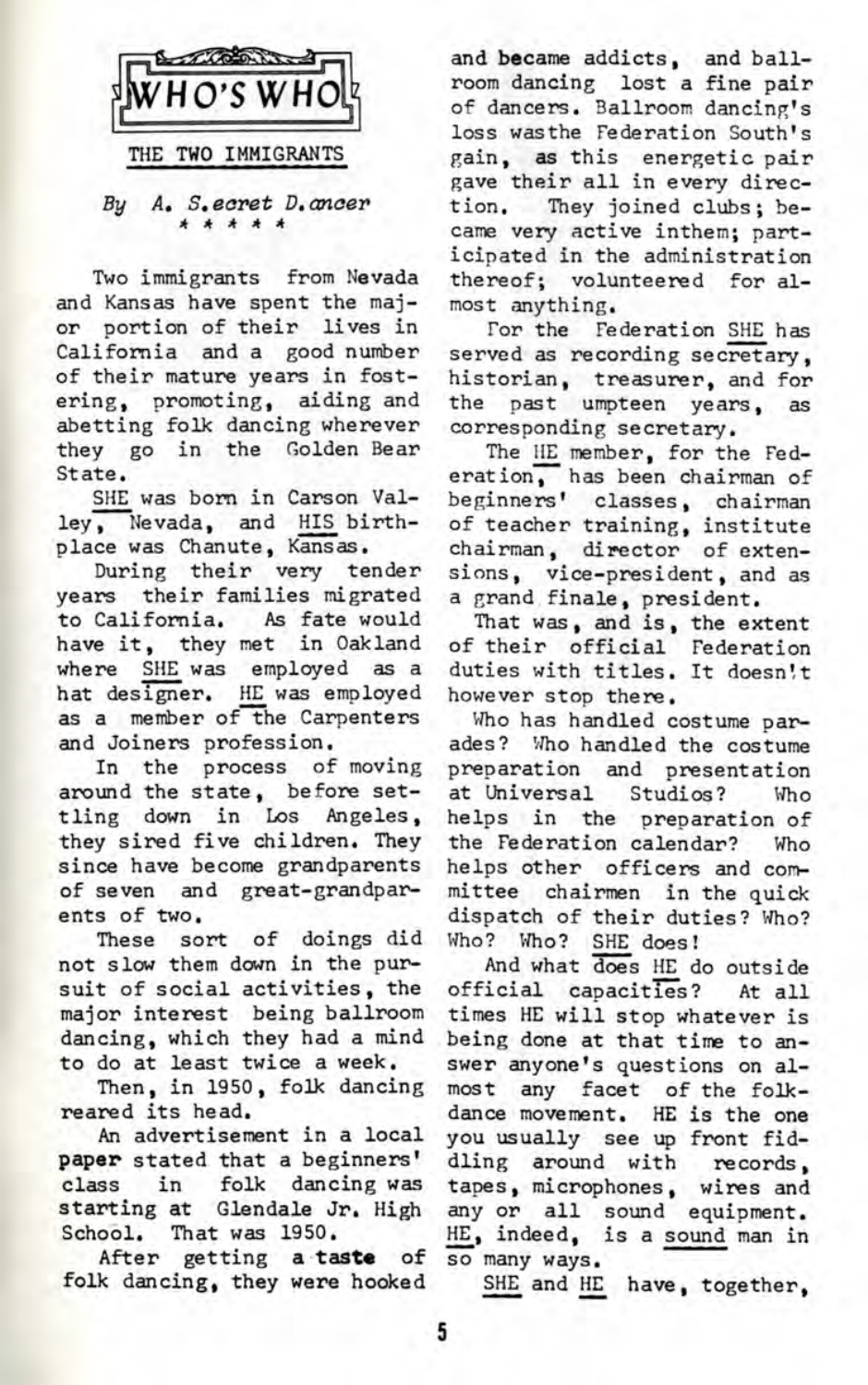

*By A. S.ecret D. oncer*

Two immigrants from Nevada and Kansas have spent the major portion of their lives in California and a good number of their mature years in fostering, promoting, aiding and abetting folk dancing wherever they go in the Golden Bear State.

SHE was born in Carson Valley, Nevada, and HIS birthplace was Chanute, Kansas.

During their very tender years their families migrated to California. As fate would have it, they met in Oakland where SHE was employed as a hat designer. HE was employed as a member of the Carpenters and Joiners profession.

In the process of moving around the state, before settling down in Los Angeles, they sired five children. They since have become grandparents of seven and great-grandparents of two.

These sort of doings did not slow them down in the pursuit of social activities, the major interest being ballroom dancing, which they had a mind to do at least twice a week.

Then, in 1950, folk dancing reared its head.

An advertisement in a local paper stated that a beginners' class in folk dancing was starting at Glendale Jr. High School. That was 1950.

After getting a taste of folk dancing, they were hooked

and became addicts, and ballroom dancing lost a fine pair of dancers. Ballroom dancing's loss wasthe Federation South's gain, as this energetic pair gave their all in every direction. They joined clubs; became very active inthem; participated in the administration thereof; volunteered for almost anything.

For the Federation SHE has served as recording secretary, historian, treasurer, and for the past umpteen years, as corresponding secretary.

The HE member, for the Federation, has been chairman of beginners' classes, chairman of teacher training, institute chairman, director of extensions, vice-president, and as a grand finale, president.

That was, and is, the extent of their official Federation duties with titles. It doesn't however stop there.

Who has handled costume parades? Who handled the costume preparation and presentation at Universal Studios? Who helps in the preparation of the Federation calendar? Who helps other officers and committee chairmen in the quick dispatch of their duties? Who? Who? Who? SHE does!

And what does HE do outside official capacities? At all times HE will stop whatever is being done at that time to answer anyone's questions on almost any facet of the folkdance movement. HE is the one you usually see up front fiddling around with records, tapes, microphones, wires and any or all sound equipment. HE, indeed, is a sound man in so many ways.

SHE and HE have, together,